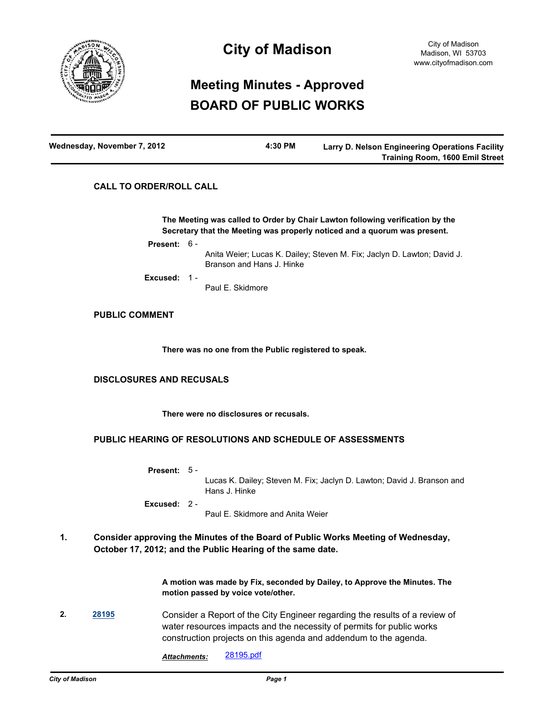

## **City of Madison**

# **Meeting Minutes - Approved BOARD OF PUBLIC WORKS**

| Wednesday, November 7, 2012 | 4:30 PM | Larry D. Nelson Engineering Operations Facility |
|-----------------------------|---------|-------------------------------------------------|
|                             |         | <b>Training Room, 1600 Emil Street</b>          |

## **CALL TO ORDER/ROLL CALL**

**The Meeting was called to Order by Chair Lawton following verification by the Secretary that the Meeting was properly noticed and a quorum was present.**

**Present:** 6 -

Anita Weier; Lucas K. Dailey; Steven M. Fix; Jaclyn D. Lawton; David J. Branson and Hans J. Hinke

**Excused:** 1 -

Paul E. Skidmore

## **PUBLIC COMMENT**

**There was no one from the Public registered to speak.**

## **DISCLOSURES AND RECUSALS**

**There were no disclosures or recusals.**

## **PUBLIC HEARING OF RESOLUTIONS AND SCHEDULE OF ASSESSMENTS**

| <b>Present:</b> $5 -$ |                                                                                         |
|-----------------------|-----------------------------------------------------------------------------------------|
|                       | Lucas K. Dailey: Steven M. Fix: Jaclyn D. Lawton: David J. Branson and<br>Hans J. Hinke |
| Excused: $2 -$        |                                                                                         |
|                       | Paul E. Skidmore and Anita Weier                                                        |

#### **Consider approving the Minutes of the Board of Public Works Meeting of Wednesday, October 17, 2012; and the Public Hearing of the same date. 1.**

**A motion was made by Fix, seconded by Dailey, to Approve the Minutes. The motion passed by voice vote/other.**

- **2. [28195](http://madison.legistar.com/gateway.aspx?m=l&id=/matter.aspx?key=30945)** Consider a Report of the City Engineer regarding the results of a review of water resources impacts and the necessity of permits for public works construction projects on this agenda and addendum to the agenda.
	- *Attachments:* [28195.pdf](http://madison.legistar.com/gateway.aspx?M=F&ID=4d5c8ad7-e134-46c5-b2d3-c032c0b19b65.pdf)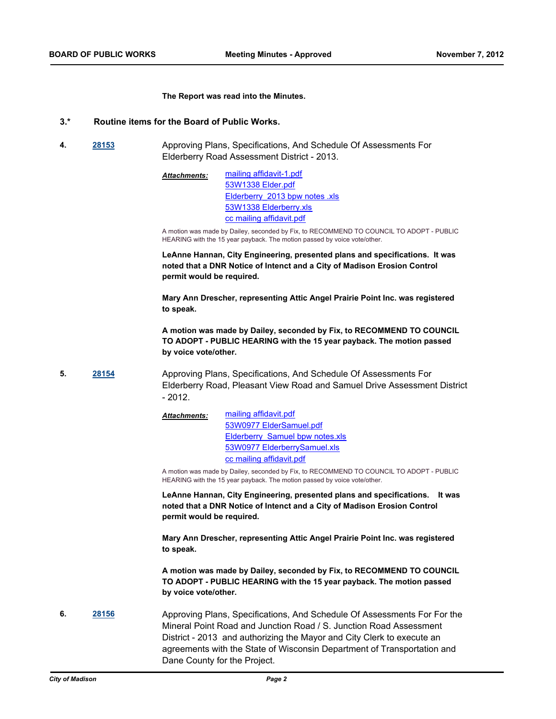#### **The Report was read into the Minutes.**

#### **3.\* Routine items for the Board of Public Works.**

**4. [28153](http://madison.legistar.com/gateway.aspx?m=l&id=/matter.aspx?key=30899)** Approving Plans, Specifications, And Schedule Of Assessments For Elderberry Road Assessment District - 2013.

> [mailing affidavit-1.pdf](http://madison.legistar.com/gateway.aspx?M=F&ID=da4f699c-10b1-46bd-bfed-3c0d4d142192.pdf) [53W1338 Elder.pdf](http://madison.legistar.com/gateway.aspx?M=F&ID=665a1912-fc32-4f0c-9179-5883fbcc02a1.pdf) Elderberry 2013 bpw notes .xls [53W1338 Elderberry.xls](http://madison.legistar.com/gateway.aspx?M=F&ID=62ec43aa-5382-4e2c-9bec-0b9ee8c37dd9.xls) [cc mailing affidavit.pdf](http://madison.legistar.com/gateway.aspx?M=F&ID=00585e73-a39b-44e0-9136-fdd9c20a165e.pdf) *Attachments:*

A motion was made by Dailey, seconded by Fix, to RECOMMEND TO COUNCIL TO ADOPT - PUBLIC HEARING with the 15 year payback. The motion passed by voice vote/other.

**LeAnne Hannan, City Engineering, presented plans and specifications. It was noted that a DNR Notice of Intenct and a City of Madison Erosion Control permit would be required.**

**Mary Ann Drescher, representing Attic Angel Prairie Point Inc. was registered to speak.**

**A motion was made by Dailey, seconded by Fix, to RECOMMEND TO COUNCIL TO ADOPT - PUBLIC HEARING with the 15 year payback. The motion passed by voice vote/other.**

- **5. [28154](http://madison.legistar.com/gateway.aspx?m=l&id=/matter.aspx?key=30900)** Approving Plans, Specifications, And Schedule Of Assessments For Elderberry Road, Pleasant View Road and Samuel Drive Assessment District - 2012.
	- [mailing affidavit.pdf](http://madison.legistar.com/gateway.aspx?M=F&ID=425e5a6b-073e-4b5f-872a-1acf87286ede.pdf) [53W0977 ElderSamuel.pdf](http://madison.legistar.com/gateway.aspx?M=F&ID=b10ef650-62a7-4627-afe0-db88544b58cf.pdf) [Elderberry\\_Samuel bpw notes.xls](http://madison.legistar.com/gateway.aspx?M=F&ID=07ba6fe1-cdd0-4c19-9b3e-b783310e1366.xls) [53W0977 ElderberrySamuel.xls](http://madison.legistar.com/gateway.aspx?M=F&ID=a54490c1-a196-4cb0-98b2-c1a669c6bb46.xls) [cc mailing affidavit.pdf](http://madison.legistar.com/gateway.aspx?M=F&ID=a4cd6f47-8c7a-4fca-82e0-8d3bccf728a2.pdf) *Attachments:*

A motion was made by Dailey, seconded by Fix, to RECOMMEND TO COUNCIL TO ADOPT - PUBLIC HEARING with the 15 year payback. The motion passed by voice vote/other.

**LeAnne Hannan, City Engineering, presented plans and specifications. It was noted that a DNR Notice of Intenct and a City of Madison Erosion Control permit would be required.**

**Mary Ann Drescher, representing Attic Angel Prairie Point Inc. was registered to speak.**

**A motion was made by Dailey, seconded by Fix, to RECOMMEND TO COUNCIL TO ADOPT - PUBLIC HEARING with the 15 year payback. The motion passed by voice vote/other.**

**6. [28156](http://madison.legistar.com/gateway.aspx?m=l&id=/matter.aspx?key=30902)** Approving Plans, Specifications, And Schedule Of Assessments For For the Mineral Point Road and Junction Road / S. Junction Road Assessment District - 2013 and authorizing the Mayor and City Clerk to execute an agreements with the State of Wisconsin Department of Transportation and Dane County for the Project.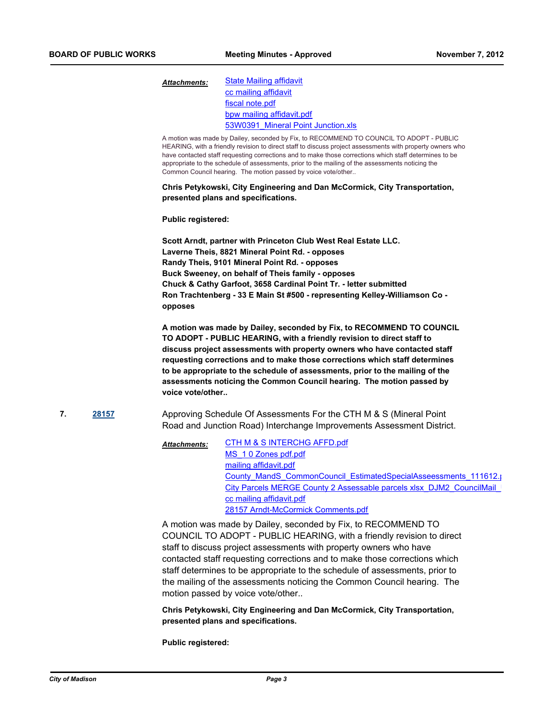#### [State Mailing affidavit](http://madison.legistar.com/gateway.aspx?M=F&ID=e42d69e6-727c-4f03-b6cf-3409338f8682.pdf) [cc mailing affidavit](http://madison.legistar.com/gateway.aspx?M=F&ID=1895e61d-7d1d-473e-a5ce-d37916d51b5d.pdf) [fiscal note.pdf](http://madison.legistar.com/gateway.aspx?M=F&ID=308529bd-9d1c-4d41-a705-2700688d865b.pdf) [bpw mailing affidavit.pdf](http://madison.legistar.com/gateway.aspx?M=F&ID=e58acd2e-94f0-45cc-afa2-38ef1c7e9b55.pdf) [53W0391\\_Mineral Point Junction.xls](http://madison.legistar.com/gateway.aspx?M=F&ID=8f965fe0-69a2-43f5-8456-31ef1befe625.xls) *Attachments:*

A motion was made by Dailey, seconded by Fix, to RECOMMEND TO COUNCIL TO ADOPT - PUBLIC HEARING, with a friendly revision to direct staff to discuss project assessments with property owners who have contacted staff requesting corrections and to make those corrections which staff determines to be appropriate to the schedule of assessments, prior to the mailing of the assessments noticing the Common Council hearing. The motion passed by voice vote/other..

**Chris Petykowski, City Engineering and Dan McCormick, City Transportation, presented plans and specifications.**

#### **Public registered:**

**Scott Arndt, partner with Princeton Club West Real Estate LLC. Laverne Theis, 8821 Mineral Point Rd. - opposes Randy Theis, 9101 Mineral Point Rd. - opposes Buck Sweeney, on behalf of Theis family - opposes Chuck & Cathy Garfoot, 3658 Cardinal Point Tr. - letter submitted Ron Trachtenberg - 33 E Main St #500 - representing Kelley-Williamson Co opposes**

**A motion was made by Dailey, seconded by Fix, to RECOMMEND TO COUNCIL TO ADOPT - PUBLIC HEARING, with a friendly revision to direct staff to discuss project assessments with property owners who have contacted staff requesting corrections and to make those corrections which staff determines to be appropriate to the schedule of assessments, prior to the mailing of the assessments noticing the Common Council hearing. The motion passed by voice vote/other..**

**7. [28157](http://madison.legistar.com/gateway.aspx?m=l&id=/matter.aspx?key=30903)** Approving Schedule Of Assessments For the CTH M & S (Mineral Point Road and Junction Road) Interchange Improvements Assessment District.

> [CTH M & S INTERCHG AFFD.pdf](http://madison.legistar.com/gateway.aspx?M=F&ID=2f1d0579-778e-4363-9642-b70d81c39d1d.pdf) [MS\\_1 0 Zones pdf.pdf](http://madison.legistar.com/gateway.aspx?M=F&ID=de22c18c-22f9-4f7f-aaab-2d1434175405.pdf) [mailing affidavit.pdf](http://madison.legistar.com/gateway.aspx?M=F&ID=36d3ea5e-1639-46b7-b58d-f0baec4f27f0.pdf) [County\\_MandS\\_CommonCouncil\\_EstimatedSpecialAsseessments\\_111612.p](http://madison.legistar.com/gateway.aspx?M=F&ID=54d8582c-3fe5-494c-8ca4-923d4535c5c2.pdf)df City Parcels MERGE County 2 Assessable parcels xlsx\_DJM2\_CouncilMail\_I [cc mailing affidavit.pdf](http://madison.legistar.com/gateway.aspx?M=F&ID=a80f1967-acdf-4f25-b53b-c638589de347.pdf) [28157 Arndt-McCormick Comments.pdf](http://madison.legistar.com/gateway.aspx?M=F&ID=d825e362-3201-4994-8019-228a5c19b8c7.pdf) *Attachments:*

A motion was made by Dailey, seconded by Fix, to RECOMMEND TO COUNCIL TO ADOPT - PUBLIC HEARING, with a friendly revision to direct staff to discuss project assessments with property owners who have contacted staff requesting corrections and to make those corrections which staff determines to be appropriate to the schedule of assessments, prior to the mailing of the assessments noticing the Common Council hearing. The motion passed by voice vote/other..

**Chris Petykowski, City Engineering and Dan McCormick, City Transportation, presented plans and specifications.**

**Public registered:**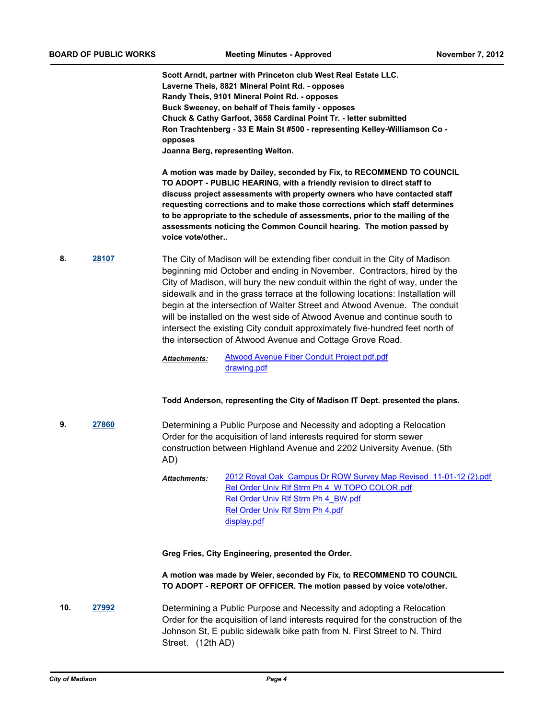**Scott Arndt, partner with Princeton club West Real Estate LLC. Laverne Theis, 8821 Mineral Point Rd. - opposes Randy Theis, 9101 Mineral Point Rd. - opposes Buck Sweeney, on behalf of Theis family - opposes Chuck & Cathy Garfoot, 3658 Cardinal Point Tr. - letter submitted Ron Trachtenberg - 33 E Main St #500 - representing Kelley-Williamson Co opposes Joanna Berg, representing Welton.**

**A motion was made by Dailey, seconded by Fix, to RECOMMEND TO COUNCIL TO ADOPT - PUBLIC HEARING, with a friendly revision to direct staff to discuss project assessments with property owners who have contacted staff requesting corrections and to make those corrections which staff determines to be appropriate to the schedule of assessments, prior to the mailing of the assessments noticing the Common Council hearing. The motion passed by voice vote/other..**

**8. [28107](http://madison.legistar.com/gateway.aspx?m=l&id=/matter.aspx?key=30844)** The City of Madison will be extending fiber conduit in the City of Madison beginning mid October and ending in November. Contractors, hired by the City of Madison, will bury the new conduit within the right of way, under the sidewalk and in the grass terrace at the following locations: Installation will begin at the intersection of Walter Street and Atwood Avenue. The conduit will be installed on the west side of Atwood Avenue and continue south to intersect the existing City conduit approximately five-hundred feet north of the intersection of Atwood Avenue and Cottage Grove Road.

> [Atwood Avenue Fiber Conduit Project pdf.pdf](http://madison.legistar.com/gateway.aspx?M=F&ID=f796de9b-66c5-48b9-983b-444dd9cb8f70.pdf) [drawing.pdf](http://madison.legistar.com/gateway.aspx?M=F&ID=2c601ca5-c8d4-42f5-88e3-5dfe5bdd03a3.pdf) *Attachments:*

### **Todd Anderson, representing the City of Madison IT Dept. presented the plans.**

- **9. [27860](http://madison.legistar.com/gateway.aspx?m=l&id=/matter.aspx?key=30575)** Determining a Public Purpose and Necessity and adopting a Relocation Order for the acquisition of land interests required for storm sewer construction between Highland Avenue and 2202 University Avenue. (5th AD)
	- [2012 Royal Oak\\_Campus Dr ROW Survey Map Revised\\_11-01-12 \(2\).pdf](http://madison.legistar.com/gateway.aspx?M=F&ID=ec7fbde0-d22f-4ef4-a444-ecb3dae9ed9d.pdf) [Rel Order Univ Rlf Strm Ph 4\\_W TOPO COLOR.pdf](http://madison.legistar.com/gateway.aspx?M=F&ID=3973c2f7-42bb-45f0-8ac1-7ae82f67ee86.pdf) Rel Order Univ RIf Strm Ph 4\_BW.pdf [Rel Order Univ Rlf Strm Ph 4.pdf](http://madison.legistar.com/gateway.aspx?M=F&ID=f9eaa735-017f-4d3f-8546-f8c5e85610c7.pdf) [display.pdf](http://madison.legistar.com/gateway.aspx?M=F&ID=9f0fb8cb-498c-484d-a664-c1ea046b2eee.pdf) *Attachments:*

**Greg Fries, City Engineering, presented the Order.**

**A motion was made by Weier, seconded by Fix, to RECOMMEND TO COUNCIL TO ADOPT - REPORT OF OFFICER. The motion passed by voice vote/other.**

**10. [27992](http://madison.legistar.com/gateway.aspx?m=l&id=/matter.aspx?key=30721)** Determining a Public Purpose and Necessity and adopting a Relocation Order for the acquisition of land interests required for the construction of the Johnson St, E public sidewalk bike path from N. First Street to N. Third Street. (12th AD)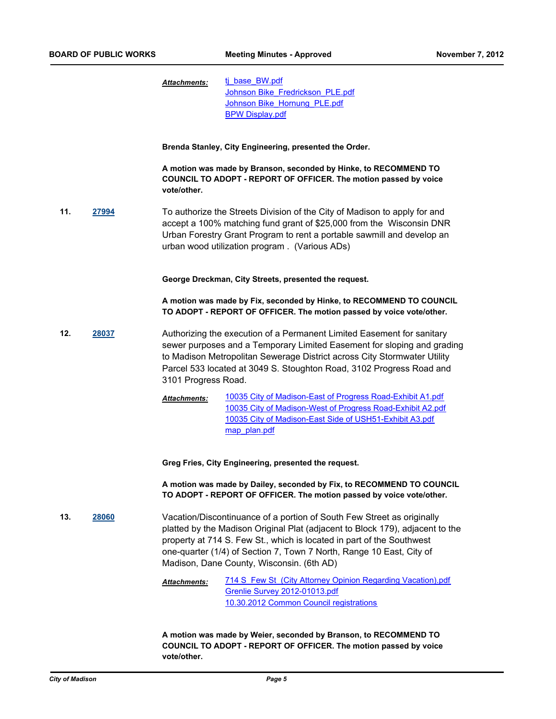ti base\_BW.pdf [Johnson Bike\\_Fredrickson\\_PLE.pdf](http://madison.legistar.com/gateway.aspx?M=F&ID=6a40a755-f562-41b9-94ad-a249a6e30a47.pdf) [Johnson Bike\\_Hornung\\_PLE.pdf](http://madison.legistar.com/gateway.aspx?M=F&ID=24800ce2-b123-4b83-8891-f2dfca44ff14.pdf) [BPW Display.pdf](http://madison.legistar.com/gateway.aspx?M=F&ID=1a60274d-8e08-48b3-a936-e05b3a4ce255.pdf) *Attachments:*

**Brenda Stanley, City Engineering, presented the Order.**

**A motion was made by Branson, seconded by Hinke, to RECOMMEND TO COUNCIL TO ADOPT - REPORT OF OFFICER. The motion passed by voice vote/other.**

**11. [27994](http://madison.legistar.com/gateway.aspx?m=l&id=/matter.aspx?key=30722)** To authorize the Streets Division of the City of Madison to apply for and accept a 100% matching fund grant of \$25,000 from the Wisconsin DNR Urban Forestry Grant Program to rent a portable sawmill and develop an urban wood utilization program . (Various ADs)

**George Dreckman, City Streets, presented the request.**

**A motion was made by Fix, seconded by Hinke, to RECOMMEND TO COUNCIL TO ADOPT - REPORT OF OFFICER. The motion passed by voice vote/other.**

- **12. [28037](http://madison.legistar.com/gateway.aspx?m=l&id=/matter.aspx?key=30770)** Authorizing the execution of a Permanent Limited Easement for sanitary sewer purposes and a Temporary Limited Easement for sloping and grading to Madison Metropolitan Sewerage District across City Stormwater Utility Parcel 533 located at 3049 S. Stoughton Road, 3102 Progress Road and 3101 Progress Road.
	- [10035 City of Madison-East of Progress Road-Exhibit A1.pdf](http://madison.legistar.com/gateway.aspx?M=F&ID=a9ffa7a7-fa05-4e03-8110-407c911b1310.pdf) [10035 City of Madison-West of Progress Road-Exhibit A2.pdf](http://madison.legistar.com/gateway.aspx?M=F&ID=7db2b2e6-b8a5-493d-b248-b8192a2cd860.pdf) [10035 City of Madison-East Side of USH51-Exhibit A3.pdf](http://madison.legistar.com/gateway.aspx?M=F&ID=019f790f-9eee-4f84-8e27-131c1db70b84.pdf) map plan.pdf *Attachments:*

**Greg Fries, City Engineering, presented the request.**

**A motion was made by Dailey, seconded by Fix, to RECOMMEND TO COUNCIL TO ADOPT - REPORT OF OFFICER. The motion passed by voice vote/other.**

**13. [28060](http://madison.legistar.com/gateway.aspx?m=l&id=/matter.aspx?key=30794)** Vacation/Discontinuance of a portion of South Few Street as originally platted by the Madison Original Plat (adjacent to Block 179), adjacent to the property at 714 S. Few St., which is located in part of the Southwest one-quarter (1/4) of Section 7, Town 7 North, Range 10 East, City of Madison, Dane County, Wisconsin. (6th AD)

> [714 S Few St \(City Attorney Opinion Regarding Vacation\).pdf](http://madison.legistar.com/gateway.aspx?M=F&ID=4339dbe1-8fa0-4dde-8827-890bfb2be936.pdf) [Grenlie Survey 2012-01013.pdf](http://madison.legistar.com/gateway.aspx?M=F&ID=6345a2c8-8e9a-4bbf-a9d4-be3ffc203fb0.pdf) [10.30.2012 Common Council registrations](http://madison.legistar.com/gateway.aspx?M=F&ID=b1ad8cf3-0b7e-40af-b414-b461952c0529.pdf) *Attachments:*

**A motion was made by Weier, seconded by Branson, to RECOMMEND TO COUNCIL TO ADOPT - REPORT OF OFFICER. The motion passed by voice vote/other.**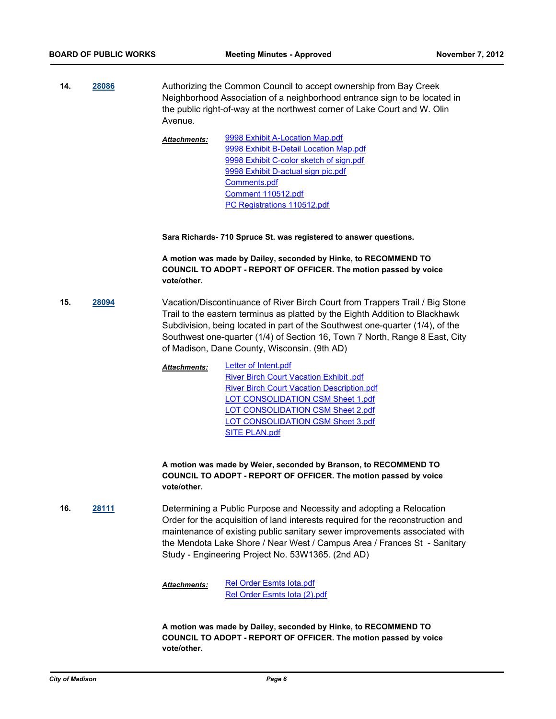**14. [28086](http://madison.legistar.com/gateway.aspx?m=l&id=/matter.aspx?key=30821)** Authorizing the Common Council to accept ownership from Bay Creek Neighborhood Association of a neighborhood entrance sign to be located in the public right-of-way at the northwest corner of Lake Court and W. Olin Avenue.

> [9998 Exhibit A-Location Map.pdf](http://madison.legistar.com/gateway.aspx?M=F&ID=8883dda1-57e3-4f73-bcd5-06370ed44390.pdf) [9998 Exhibit B-Detail Location Map.pdf](http://madison.legistar.com/gateway.aspx?M=F&ID=8abeff2d-6251-41b1-a8dd-b96c07a266ad.pdf) [9998 Exhibit C-color sketch of sign.pdf](http://madison.legistar.com/gateway.aspx?M=F&ID=997f0c94-ac3f-415d-874e-1b0bac63b73e.pdf) [9998 Exhibit D-actual sign pic.pdf](http://madison.legistar.com/gateway.aspx?M=F&ID=20cbdf6f-881c-49c7-836d-c3863b986f3a.pdf) [Comments.pdf](http://madison.legistar.com/gateway.aspx?M=F&ID=e118e867-dfbb-425e-8f75-c4e706f7e93a.pdf) [Comment 110512.pdf](http://madison.legistar.com/gateway.aspx?M=F&ID=55ef1fef-8072-46cc-b929-1fe18a952b26.pdf) [PC Registrations 110512.pdf](http://madison.legistar.com/gateway.aspx?M=F&ID=b4f25c4a-8d89-4b9a-87ef-bbc6ffbb1342.pdf) *Attachments:*

**Sara Richards- 710 Spruce St. was registered to answer questions.**

**A motion was made by Dailey, seconded by Hinke, to RECOMMEND TO COUNCIL TO ADOPT - REPORT OF OFFICER. The motion passed by voice vote/other.**

**15. [28094](http://madison.legistar.com/gateway.aspx?m=l&id=/matter.aspx?key=30830)** Vacation/Discontinuance of River Birch Court from Trappers Trail / Big Stone Trail to the eastern terminus as platted by the Eighth Addition to Blackhawk Subdivision, being located in part of the Southwest one-quarter (1/4), of the Southwest one-quarter (1/4) of Section 16, Town 7 North, Range 8 East, City of Madison, Dane County, Wisconsin. (9th AD)

> [Letter of Intent.pdf](http://madison.legistar.com/gateway.aspx?M=F&ID=ca70306d-3782-4103-97f4-d1f337671e1e.pdf) [River Birch Court Vacation Exhibit .pdf](http://madison.legistar.com/gateway.aspx?M=F&ID=1e2fa092-10e3-44e2-b634-e1b6e1d198ed.pdf) [River Birch Court Vacation Description.pdf](http://madison.legistar.com/gateway.aspx?M=F&ID=bef926fc-8c73-4c52-bb26-6c82279f776e.pdf) [LOT CONSOLIDATION CSM Sheet 1.pdf](http://madison.legistar.com/gateway.aspx?M=F&ID=82b33541-3912-4967-8a2e-d4cc3d23e247.pdf) [LOT CONSOLIDATION CSM Sheet 2.pdf](http://madison.legistar.com/gateway.aspx?M=F&ID=a358959f-9380-47ff-b6a1-b9814ce1d1a7.pdf) [LOT CONSOLIDATION CSM Sheet 3.pdf](http://madison.legistar.com/gateway.aspx?M=F&ID=57eac355-6aa1-4192-a96e-e66a64305713.pdf) [SITE PLAN.pdf](http://madison.legistar.com/gateway.aspx?M=F&ID=5c3db816-603b-4d1a-b159-19e04f948e8a.pdf) *Attachments:*

**A motion was made by Weier, seconded by Branson, to RECOMMEND TO COUNCIL TO ADOPT - REPORT OF OFFICER. The motion passed by voice vote/other.**

**16. [28111](http://madison.legistar.com/gateway.aspx?m=l&id=/matter.aspx?key=30848)** Determining a Public Purpose and Necessity and adopting a Relocation Order for the acquisition of land interests required for the reconstruction and maintenance of existing public sanitary sewer improvements associated with the Mendota Lake Shore / Near West / Campus Area / Frances St - Sanitary Study - Engineering Project No. 53W1365. (2nd AD)

> [Rel Order Esmts Iota.pdf](http://madison.legistar.com/gateway.aspx?M=F&ID=6b6a0b3a-faf4-4098-9fca-0feae1157ced.pdf) [Rel Order Esmts Iota \(2\).pdf](http://madison.legistar.com/gateway.aspx?M=F&ID=ac3c7b1d-9319-4430-bc77-74f4742eaa52.pdf) *Attachments:*

**A motion was made by Dailey, seconded by Hinke, to RECOMMEND TO COUNCIL TO ADOPT - REPORT OF OFFICER. The motion passed by voice vote/other.**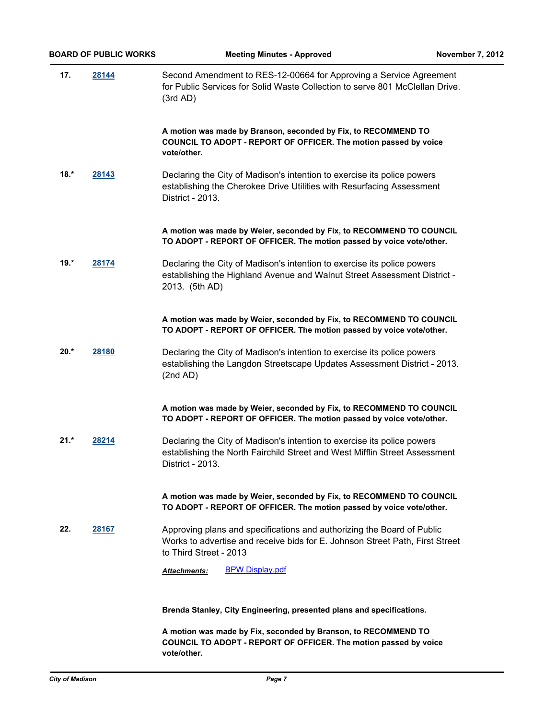| 17.    | 28144 | Second Amendment to RES-12-00664 for Approving a Service Agreement<br>for Public Services for Solid Waste Collection to serve 801 McClellan Drive.<br>(3rd AD)                   |
|--------|-------|----------------------------------------------------------------------------------------------------------------------------------------------------------------------------------|
|        |       | A motion was made by Branson, seconded by Fix, to RECOMMEND TO<br>COUNCIL TO ADOPT - REPORT OF OFFICER. The motion passed by voice<br>vote/other.                                |
| $18.*$ | 28143 | Declaring the City of Madison's intention to exercise its police powers<br>establishing the Cherokee Drive Utilities with Resurfacing Assessment<br>District - 2013.             |
|        |       | A motion was made by Weier, seconded by Fix, to RECOMMEND TO COUNCIL<br>TO ADOPT - REPORT OF OFFICER. The motion passed by voice vote/other.                                     |
| $19.*$ | 28174 | Declaring the City of Madison's intention to exercise its police powers<br>establishing the Highland Avenue and Walnut Street Assessment District -<br>2013. (5th AD)            |
|        |       | A motion was made by Weier, seconded by Fix, to RECOMMEND TO COUNCIL<br>TO ADOPT - REPORT OF OFFICER. The motion passed by voice vote/other.                                     |
| $20.*$ | 28180 | Declaring the City of Madison's intention to exercise its police powers<br>establishing the Langdon Streetscape Updates Assessment District - 2013.<br>(2nd AD)                  |
|        |       | A motion was made by Weier, seconded by Fix, to RECOMMEND TO COUNCIL<br>TO ADOPT - REPORT OF OFFICER. The motion passed by voice vote/other.                                     |
| $21.*$ | 28214 | Declaring the City of Madison's intention to exercise its police powers<br>establishing the North Fairchild Street and West Mifflin Street Assessment<br>District - 2013.        |
|        |       | A motion was made by Weier, seconded by Fix, to RECOMMEND TO COUNCIL<br>TO ADOPT - REPORT OF OFFICER. The motion passed by voice vote/other.                                     |
| 22.    | 28167 | Approving plans and specifications and authorizing the Board of Public<br>Works to advertise and receive bids for E. Johnson Street Path, First Street<br>to Third Street - 2013 |
|        |       | <b>BPW Display.pdf</b><br>Attachments:                                                                                                                                           |
|        |       | Brenda Stanley, City Engineering, presented plans and specifications.                                                                                                            |
|        |       | A motion was made by Fix, seconded by Branson, to RECOMMEND TO<br>COUNCIL TO ADOPT - REPORT OF OFFICER. The motion passed by voice                                               |

**vote/other.**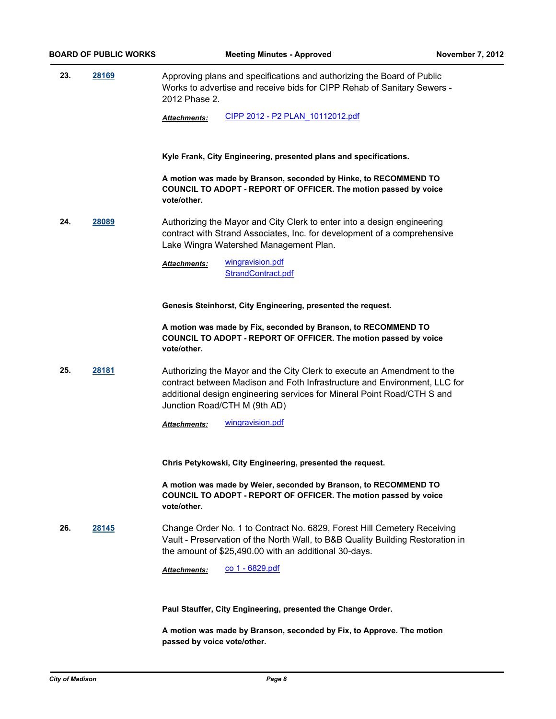**23. [28169](http://madison.legistar.com/gateway.aspx?m=l&id=/matter.aspx?key=30916)** Approving plans and specifications and authorizing the Board of Public Works to advertise and receive bids for CIPP Rehab of Sanitary Sewers - 2012 Phase 2.

*Attachments:* [CIPP 2012 - P2 PLAN\\_10112012.pdf](http://madison.legistar.com/gateway.aspx?M=F&ID=79643580-419a-4e41-8202-c0020fb8a90e.pdf)

**Kyle Frank, City Engineering, presented plans and specifications.**

**A motion was made by Branson, seconded by Hinke, to RECOMMEND TO COUNCIL TO ADOPT - REPORT OF OFFICER. The motion passed by voice vote/other.**

**24. [28089](http://madison.legistar.com/gateway.aspx?m=l&id=/matter.aspx?key=30824)** Authorizing the Mayor and City Clerk to enter into a design engineering contract with Strand Associates, Inc. for development of a comprehensive Lake Wingra Watershed Management Plan.

> [wingravision.pdf](http://madison.legistar.com/gateway.aspx?M=F&ID=4d832b54-c71f-4482-845b-7888319b658c.pdf) [StrandContract.pdf](http://madison.legistar.com/gateway.aspx?M=F&ID=b2b86698-62ac-4356-b259-f06b000719c4.pdf) *Attachments:*

**Genesis Steinhorst, City Engineering, presented the request.**

**A motion was made by Fix, seconded by Branson, to RECOMMEND TO COUNCIL TO ADOPT - REPORT OF OFFICER. The motion passed by voice vote/other.**

**25. [28181](http://madison.legistar.com/gateway.aspx?m=l&id=/matter.aspx?key=30929)** Authorizing the Mayor and the City Clerk to execute an Amendment to the contract between Madison and Foth Infrastructure and Environment, LLC for additional design engineering services for Mineral Point Road/CTH S and Junction Road/CTH M (9th AD)

**Chris Petykowski, City Engineering, presented the request.**

**A motion was made by Weier, seconded by Branson, to RECOMMEND TO COUNCIL TO ADOPT - REPORT OF OFFICER. The motion passed by voice vote/other.**

**26. [28145](http://madison.legistar.com/gateway.aspx?m=l&id=/matter.aspx?key=30891)** Change Order No. 1 to Contract No. 6829, Forest Hill Cemetery Receiving Vault - Preservation of the North Wall, to B&B Quality Building Restoration in the amount of \$25,490.00 with an additional 30-days.

*Attachments:* [co 1 - 6829.pdf](http://madison.legistar.com/gateway.aspx?M=F&ID=2e10d8a5-04b5-4f22-8eb9-a82d58bcd9d3.pdf)

**Paul Stauffer, City Engineering, presented the Change Order.**

**A motion was made by Branson, seconded by Fix, to Approve. The motion passed by voice vote/other.**

*Attachments:* [wingravision.pdf](http://madison.legistar.com/gateway.aspx?M=F&ID=aea66f35-e92a-4313-83fd-434bc03252e8.pdf)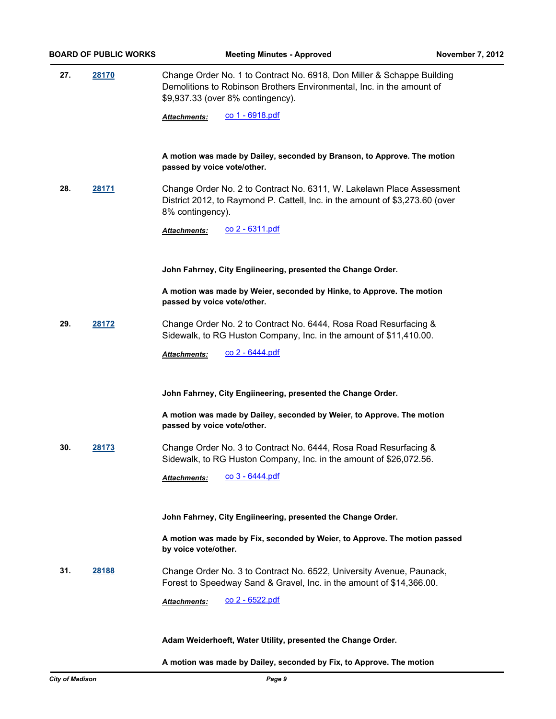**27. [28170](http://madison.legistar.com/gateway.aspx?m=l&id=/matter.aspx?key=30918)** Change Order No. 1 to Contract No. 6918, Don Miller & Schappe Building Demolitions to Robinson Brothers Environmental, Inc. in the amount of \$9,937.33 (over 8% contingency).

Attachments: CO 1 - 6918.pdf

**A motion was made by Dailey, seconded by Branson, to Approve. The motion passed by voice vote/other.**

**28. [28171](http://madison.legistar.com/gateway.aspx?m=l&id=/matter.aspx?key=30919)** Change Order No. 2 to Contract No. 6311, W. Lakelawn Place Assessment District 2012, to Raymond P. Cattell, Inc. in the amount of \$3,273.60 (over 8% contingency).

Attachments: CO 2 - 6311.pdf

**John Fahrney, City Engiineering, presented the Change Order.**

**A motion was made by Weier, seconded by Hinke, to Approve. The motion passed by voice vote/other.**

**29. [28172](http://madison.legistar.com/gateway.aspx?m=l&id=/matter.aspx?key=30920)** Change Order No. 2 to Contract No. 6444, Rosa Road Resurfacing & Sidewalk, to RG Huston Company, Inc. in the amount of \$11,410.00.

Attachments: CO 2 - 6444.pdf

#### **John Fahrney, City Engiineering, presented the Change Order.**

**A motion was made by Dailey, seconded by Weier, to Approve. The motion passed by voice vote/other.**

**30. [28173](http://madison.legistar.com/gateway.aspx?m=l&id=/matter.aspx?key=30921)** Change Order No. 3 to Contract No. 6444, Rosa Road Resurfacing & Sidewalk, to RG Huston Company, Inc. in the amount of \$26,072.56.

*Attachments:* [co 3 - 6444.pdf](http://madison.legistar.com/gateway.aspx?M=F&ID=5fca5a31-8e83-4b5a-8310-81be4c2189f5.pdf)

**John Fahrney, City Engiineering, presented the Change Order.**

**A motion was made by Fix, seconded by Weier, to Approve. The motion passed by voice vote/other.**

**31. [28188](http://madison.legistar.com/gateway.aspx?m=l&id=/matter.aspx?key=30936)** Change Order No. 3 to Contract No. 6522, University Avenue, Paunack, Forest to Speedway Sand & Gravel, Inc. in the amount of \$14,366.00.

Attachments: CO 2 - 6522.pdf

#### **Adam Weiderhoeft, Water Utility, presented the Change Order.**

**A motion was made by Dailey, seconded by Fix, to Approve. The motion**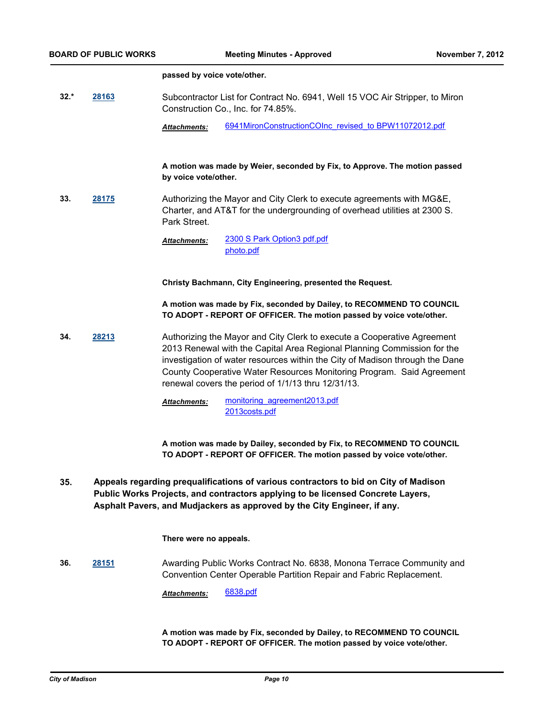#### **passed by voice vote/other.**

- **32.\* [28163](http://madison.legistar.com/gateway.aspx?m=l&id=/matter.aspx?key=30909)** Subcontractor List for Contract No. 6941, Well 15 VOC Air Stripper, to Miron Construction Co., Inc. for 74.85%.
	- *Attachments:* [6941MironConstructionCOInc\\_revised\\_to BPW11072012.pdf](http://madison.legistar.com/gateway.aspx?M=F&ID=4bc30a30-7c31-436c-85c8-358d3a99fa48.pdf)

### **A motion was made by Weier, seconded by Fix, to Approve. The motion passed by voice vote/other.**

**33. [28175](http://madison.legistar.com/gateway.aspx?m=l&id=/matter.aspx?key=30923)** Authorizing the Mayor and City Clerk to execute agreements with MG&E, Charter, and AT&T for the undergrounding of overhead utilities at 2300 S. Park Street.

> [2300 S Park Option3 pdf.pdf](http://madison.legistar.com/gateway.aspx?M=F&ID=a3cbede0-c4b3-4918-8c4d-064085515ec0.pdf) [photo.pdf](http://madison.legistar.com/gateway.aspx?M=F&ID=203cacc2-11dc-40e5-94f4-f7f731aaa46d.pdf) *Attachments:*

**Christy Bachmann, City Engineering, presented the Request.**

**A motion was made by Fix, seconded by Dailey, to RECOMMEND TO COUNCIL TO ADOPT - REPORT OF OFFICER. The motion passed by voice vote/other.**

**34. [28213](http://madison.legistar.com/gateway.aspx?m=l&id=/matter.aspx?key=30965)** Authorizing the Mayor and City Clerk to execute a Cooperative Agreement 2013 Renewal with the Capital Area Regional Planning Commission for the investigation of water resources within the City of Madison through the Dane County Cooperative Water Resources Monitoring Program. Said Agreement renewal covers the period of 1/1/13 thru 12/31/13.

> [monitoring\\_agreement2013.pdf](http://madison.legistar.com/gateway.aspx?M=F&ID=9c04142a-e8f3-4f69-89c7-e57b5951ed39.pdf) [2013costs.pdf](http://madison.legistar.com/gateway.aspx?M=F&ID=4ba0a6d9-02e3-4840-bb21-ffb740017f63.pdf) *Attachments:*

**A motion was made by Dailey, seconded by Fix, to RECOMMEND TO COUNCIL TO ADOPT - REPORT OF OFFICER. The motion passed by voice vote/other.**

**Appeals regarding prequalifications of various contractors to bid on City of Madison Public Works Projects, and contractors applying to be licensed Concrete Layers, Asphalt Pavers, and Mudjackers as approved by the City Engineer, if any. 35.**

#### **There were no appeals.**

**36. [28151](http://madison.legistar.com/gateway.aspx?m=l&id=/matter.aspx?key=30897)** Awarding Public Works Contract No. 6838, Monona Terrace Community and Convention Center Operable Partition Repair and Fabric Replacement.

*Attachments:* [6838.pdf](http://madison.legistar.com/gateway.aspx?M=F&ID=a4992533-9c20-499a-960e-ac4840491b72.pdf)

**A motion was made by Fix, seconded by Dailey, to RECOMMEND TO COUNCIL TO ADOPT - REPORT OF OFFICER. The motion passed by voice vote/other.**